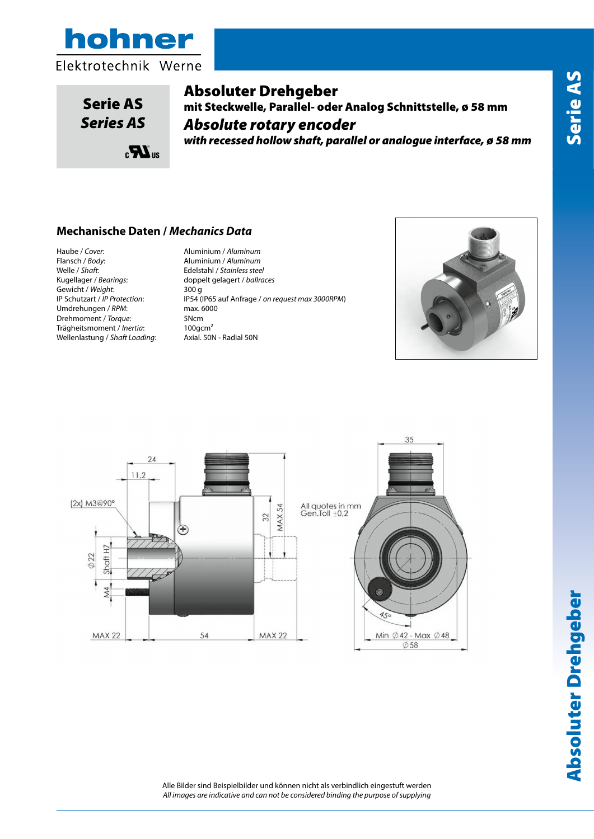



Serie AS *Series AS*

# Absoluter Drehgeber

mit Steckwelle, Parallel- oder Analog Schnittstelle, ø 58 mm *Absolute rotary encoder with recessed hollow shaft, parallel or analogue interface, ø 58 mm*

#### **Mechanische Daten /** *Mechanics Data*

 $\mathbf{R}^{\text{us}}$ 

Haube / *Cover*: Aluminium / *Aluminum* Welle / *Shaft*: Edelstahl / *Stainless steel* Gewicht / *Weight*:<br>
IP Schutzart / *IP Protection*: Umdrehungen / *RPM*: max. 6000 Drehmoment / *Torque*: 5Ncm<br>Trägheitsmoment / *Inertia*: 100gcm<sup>2</sup> Trägheitsmoment / *Inertia*: 100gcm<sup>2</sup><br>Wellenlastung / Shaft Loading: Axial. 50N - Radial 50N Wellenlastung / Shaft Loading:

Flansch / *Body*: Aluminium / *Aluminum* doppelt gelagert / *ballraces*<br>300 q IP Schutzart / *IP Protection*: IP54 (IP65 auf Anfrage / *on request max 3000RPM*)





Alle Bilder sind Beispielbilder und können nicht als verbindlich eingestuft werden *All images are indicative and can not be considered binding the purpose of supplying*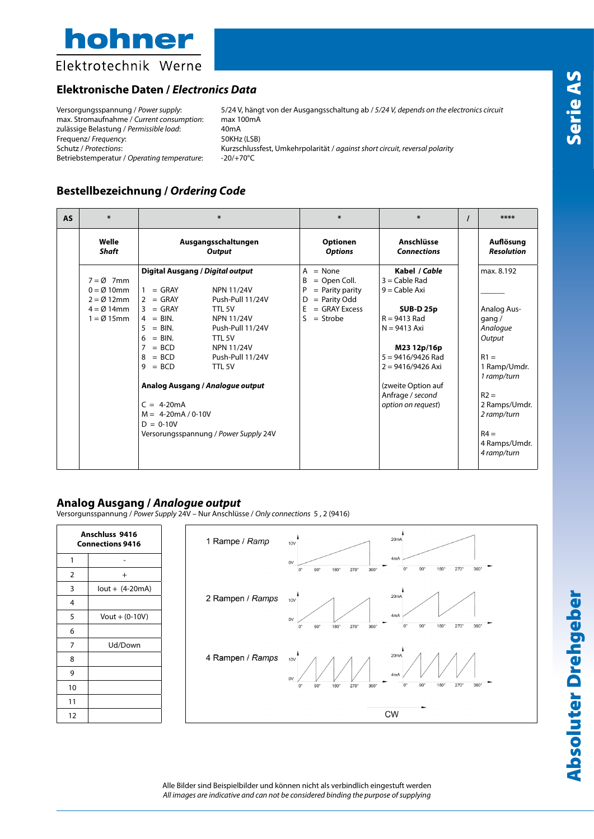

Elektrotechnik Werne

### **Elektronische Daten /** *Electronics Data*

Versorgungsspannung / *Power supply*: 5/24 V, hängt von der Ausgangsschaltung ab / *5/24 V, depends on the electronics circuit* max. Stromaufnahme / *Current consumption*: max 100mA zulässige Belastung / *Permissible load*: 40mA<br>Frequenz/ *Frequency*: 50KHz (LSB) Frequenz/ Frequency:<br>Schutz / Protections: Kurzschlussfest, Umkehrpolarität / *against short circuit, reversal polarity*<br>-20/+70°C Betriebstemperatur / Operating temperature:

## **Bestellbezeichnung /** *Ordering Code*

| <b>AS</b> | $\ast$               | $\ast$                                        | $\ast$                            | $\ast$                           |  | ****                           |  |  |  |
|-----------|----------------------|-----------------------------------------------|-----------------------------------|----------------------------------|--|--------------------------------|--|--|--|
|           | Welle<br>Shaft       | Ausgangsschaltungen<br>Output                 | <b>Optionen</b><br><b>Options</b> | Anschlüsse<br><b>Connections</b> |  | Auflösung<br><b>Resolution</b> |  |  |  |
|           |                      | Digital Ausgang / Digital output              | $= None$<br>A                     | Kabel / Cable                    |  |                                |  |  |  |
|           | $7 = \emptyset$ 7mm  |                                               | $=$ Open Coll.<br>B               | $3 =$ Cable Rad                  |  |                                |  |  |  |
|           | $0 = \emptyset$ 10mm | $=$ GRAY<br><b>NPN 11/24V</b><br>$\mathbf{1}$ | $=$ Parity parity<br>P            | $9 =$ Cable Axi                  |  |                                |  |  |  |
|           | $2 = \emptyset$ 12mm | $=$ GRAY<br>Push-Pull 11/24V<br>$\mathcal{P}$ | $=$ Parity Odd<br>D               |                                  |  |                                |  |  |  |
|           | $4 = \emptyset$ 14mm | $3 = GRAY$<br>TTL 5V                          | $=$ GRAY Excess<br>E              | <b>SUB-D 25p</b>                 |  | Analog Aus-                    |  |  |  |
|           | $1 = \emptyset$ 15mm | $4 = BIN$ .<br><b>NPN 11/24V</b>              | S<br>$=$ Strobe                   | $R = 9413$ Rad                   |  | gang $/$                       |  |  |  |
|           |                      | Push-Pull 11/24V<br>$=$ BIN.<br>5             |                                   | $N = 9413$ Axi                   |  | Analoque                       |  |  |  |
|           |                      | $=$ BIN.<br>6<br>TTL 5V                       |                                   |                                  |  | Output                         |  |  |  |
|           |                      | 7<br>$= BCD$<br><b>NPN 11/24V</b>             |                                   | M23 12p/16p                      |  |                                |  |  |  |
|           |                      | $= BCD$<br>Push-Pull 11/24V<br>8              |                                   | 5 = 9416/9426 Rad                |  | $R1 =$                         |  |  |  |
|           |                      | $= BCD$<br>TTL <sub>5V</sub><br>9             |                                   | $2 = 9416/9426$ Axi              |  | 1 Ramp/Umdr.<br>1 ramp/turn    |  |  |  |
|           |                      | Analog Ausgang / Analogue output              |                                   | (zweite Option auf               |  |                                |  |  |  |
|           |                      |                                               |                                   | Anfrage / second                 |  | $R2 =$                         |  |  |  |
|           |                      | $C = 4-20mA$                                  |                                   | option on request)               |  | 2 Ramps/Umdr.                  |  |  |  |
|           |                      | $M = 4-20mA / 0-10V$                          |                                   |                                  |  | 2 ramp/turn                    |  |  |  |
|           |                      | $D = 0-10V$                                   |                                   |                                  |  |                                |  |  |  |
|           |                      | Versorungsspannung / Power Supply 24V         |                                   |                                  |  | $R4 =$                         |  |  |  |
|           |                      |                                               |                                   |                                  |  | 4 Ramps/Umdr.<br>4 ramp/turn   |  |  |  |
|           |                      |                                               |                                   |                                  |  |                                |  |  |  |

#### **Analog Ausgang /** *Analogue output*

Versorgunsspannung / *Power Supply* 24V – Nur Anschlüsse / *Only connections* 5 , 2 (9416)

| Anschluss 9416<br><b>Connections 9416</b> |                          | 1 Rampe / Ramp   | 20mA<br>10V                                                                                                                   |
|-------------------------------------------|--------------------------|------------------|-------------------------------------------------------------------------------------------------------------------------------|
|                                           | $\overline{\phantom{0}}$ |                  | 4mA<br>0V                                                                                                                     |
| $\overline{2}$                            | $+$                      |                  | $360^\circ$<br>270°<br>$90^{\circ}$<br>180°<br>270°<br>$90^{\circ}$<br>180°<br>$0^{\circ}$<br>$360^\circ$                     |
| 3                                         | $lout + (4-20mA)$        |                  |                                                                                                                               |
| $\overline{4}$                            |                          | 2 Rampen / Ramps | 20mA<br><b>10V</b>                                                                                                            |
| 5                                         | $Vout + (0-10V)$         |                  | 4mA<br>$0\mathrm{V}$                                                                                                          |
| 6                                         |                          |                  | $270^\circ$<br>360°<br>$90^\circ$<br>180°<br>$270^\circ$<br>$90^{\circ}$<br>$180^\circ$<br>360°<br>$0^{\circ}$                |
| 7                                         | Ud/Down                  |                  |                                                                                                                               |
| 8                                         |                          | 4 Rampen / Ramps | 20mA<br>10V                                                                                                                   |
| 9                                         |                          |                  | 4mA<br>0V                                                                                                                     |
| 10                                        |                          |                  | $90^\circ$<br>180°<br>$270^\circ$<br>$360^\circ$<br>$0^{\circ}$<br>$0^{\circ}$<br>$90^{\circ}$<br>180°<br>270°<br>$360^\circ$ |
| 11                                        |                          |                  |                                                                                                                               |
| 12                                        |                          |                  | CW                                                                                                                            |

Alle Bilder sind Beispielbilder und können nicht als verbindlich eingestuft werden *All images are indicative and can not be considered binding the purpose of supplying*